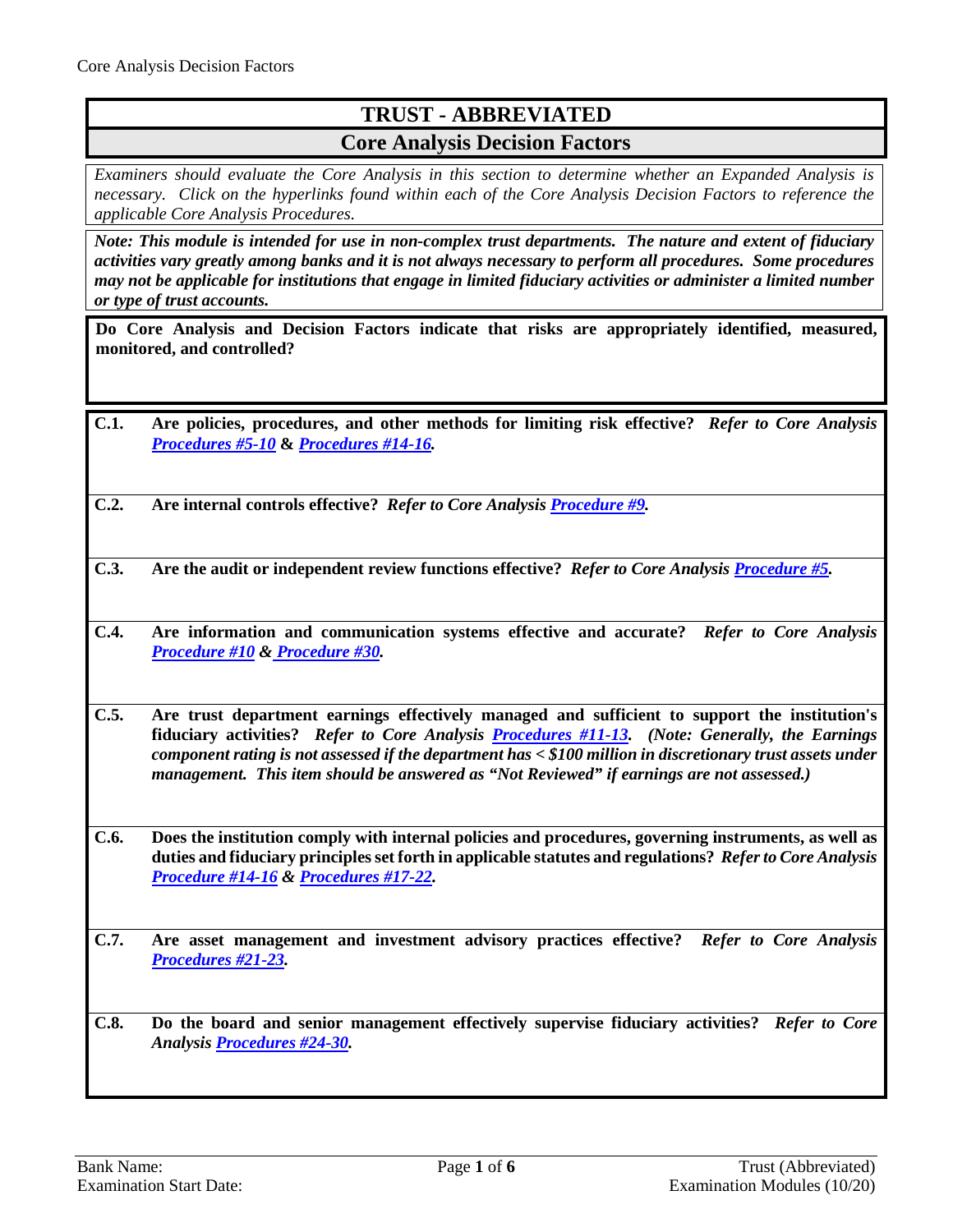## **TRUST - ABBREVIATED Core Analysis Decision Factors**

*Examiners should evaluate the Core Analysis in this section to determine whether an Expanded Analysis is necessary. Click on the hyperlinks found within each of the Core Analysis Decision Factors to reference the applicable Core Analysis Procedures.*

*Note: This module is intended for use in non-complex trust departments. The nature and extent of fiduciary activities vary greatly among banks and it is not always necessary to perform all procedures. Some procedures may not be applicable for institutions that engage in limited fiduciary activities or administer a limited number or type of trust accounts.* 

**Do Core Analysis and Decision Factors indicate that risks are appropriately identified, measured, monitored, and controlled?**

- **C.1. Are policies, procedures, and other methods for limiting risk effective?** *Refer to Core Analysis [Procedures #5-10](#page-2-0)* **&** *[Procedures #14-16.](#page-3-0)*
- **C.2. Are internal controls effective?** *Refer to Core Analysis [Procedure #9.](#page-2-1)*
- **C.3. Are the audit or independent review functions effective?** *Refer to Core Analysi[s Procedure #5.](#page-2-0)*
- **C.4. Are information and communication systems effective and accurate?** *Refer to Core Analysis [Procedure #10](#page-2-2) [& Procedure #30.](#page-5-0)*
- **C.5. Are trust department earnings effectively managed and sufficient to support the institution's fiduciary activities?** *Refer to Core Analysis [Procedures #11-13.](#page-2-3)**(Note: Generally, the Earnings component rating is not assessed if the department has < \$100 million in discretionary trust assets under management. This item should be answered as "Not Reviewed" if earnings are not assessed.)*
- **C.6. Does the institution comply with internal policies and procedures, governing instruments, as well as duties and fiduciary principlesset forth in applicable statutes and regulations?** *Refer to Core Analysis [Procedure #14-16](#page-3-0) & [Procedures #17-22.](#page-4-0)*
- **C.7. Are asset management and investment advisory practices effective?** *Refer to Core Analysis [Procedures #21-23.](#page-4-0)*
- **C.8. Do the board and senior management effectively supervise fiduciary activities?** *Refer to Core Analysi[s Procedures #24-30.](#page-4-1)*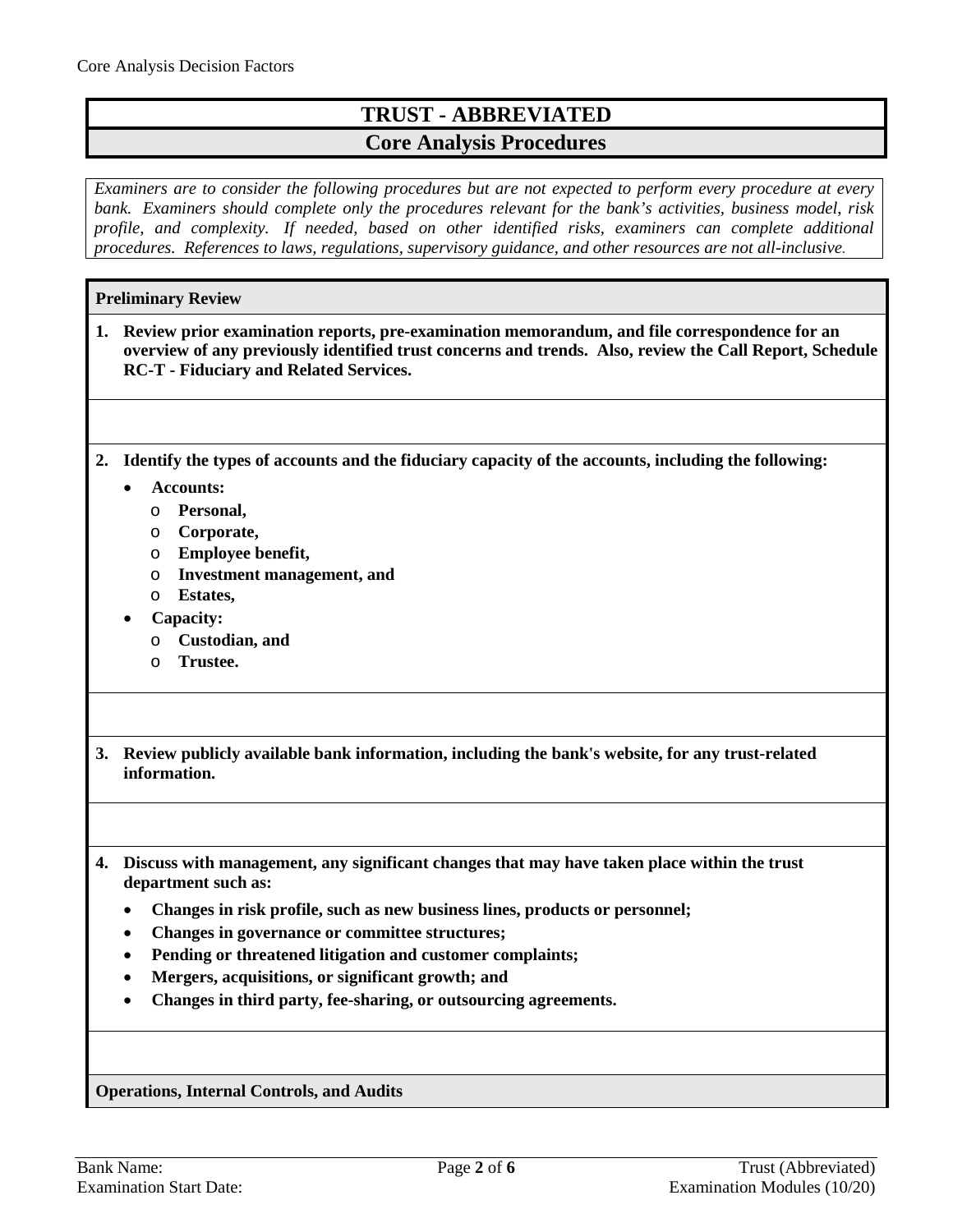## **TRUST - ABBREVIATED Core Analysis Procedures**

*Examiners are to consider the following procedures but are not expected to perform every procedure at every bank. Examiners should complete only the procedures relevant for the bank's activities, business model, risk profile, and complexity. If needed, based on other identified risks, examiners can complete additional procedures. References to laws, regulations, supervisory guidance, and other resources are not all-inclusive.*

|    | <b>Preliminary Review</b>                                                                                                                                                                                                                                |
|----|----------------------------------------------------------------------------------------------------------------------------------------------------------------------------------------------------------------------------------------------------------|
| 1. | Review prior examination reports, pre-examination memorandum, and file correspondence for an<br>overview of any previously identified trust concerns and trends. Also, review the Call Report, Schedule<br><b>RC-T - Fiduciary and Related Services.</b> |
|    |                                                                                                                                                                                                                                                          |
| 2. | Identify the types of accounts and the fiduciary capacity of the accounts, including the following:                                                                                                                                                      |
|    | <b>Accounts:</b>                                                                                                                                                                                                                                         |
|    | Personal,<br>O                                                                                                                                                                                                                                           |
|    | Corporate,<br>O                                                                                                                                                                                                                                          |
|    | Employee benefit,<br>O                                                                                                                                                                                                                                   |
|    | <b>Investment management, and</b><br>$\circ$                                                                                                                                                                                                             |
|    | <b>Estates,</b><br>$\circ$                                                                                                                                                                                                                               |
|    | Capacity:                                                                                                                                                                                                                                                |
|    | Custodian, and<br>$\circ$                                                                                                                                                                                                                                |
|    | Trustee.<br>$\circ$                                                                                                                                                                                                                                      |
|    |                                                                                                                                                                                                                                                          |
|    |                                                                                                                                                                                                                                                          |
| 3. | Review publicly available bank information, including the bank's website, for any trust-related<br>information.                                                                                                                                          |
|    |                                                                                                                                                                                                                                                          |
|    | 4. Discuss with management, any significant changes that may have taken place within the trust<br>department such as:                                                                                                                                    |
|    | Changes in risk profile, such as new business lines, products or personnel;                                                                                                                                                                              |
|    | Changes in governance or committee structures;                                                                                                                                                                                                           |
|    | Pending or threatened litigation and customer complaints;                                                                                                                                                                                                |
|    | Mergers, acquisitions, or significant growth; and                                                                                                                                                                                                        |
|    | Changes in third party, fee-sharing, or outsourcing agreements.                                                                                                                                                                                          |
|    |                                                                                                                                                                                                                                                          |
|    | <b>Operations, Internal Controls, and Audits</b>                                                                                                                                                                                                         |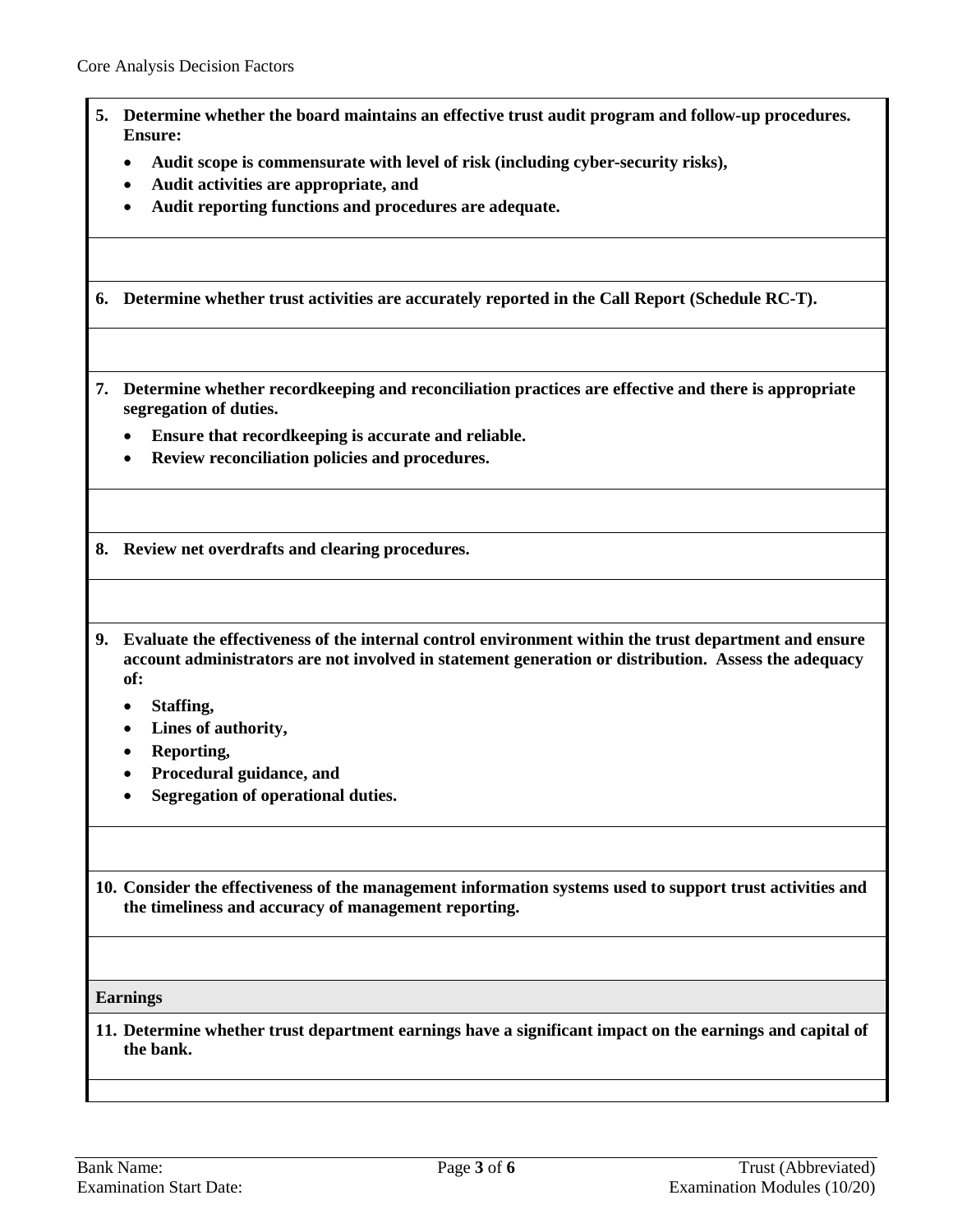<span id="page-2-0"></span> $\blacksquare$ 

<span id="page-2-3"></span><span id="page-2-2"></span><span id="page-2-1"></span>

|    | Determine whether the board maintains an effective trust audit program and follow-up procedures.<br><b>Ensure:</b>                                                                                                                |
|----|-----------------------------------------------------------------------------------------------------------------------------------------------------------------------------------------------------------------------------------|
|    | Audit scope is commensurate with level of risk (including cyber-security risks),<br>٠                                                                                                                                             |
|    | Audit activities are appropriate, and<br>$\bullet$                                                                                                                                                                                |
|    | Audit reporting functions and procedures are adequate.                                                                                                                                                                            |
| 6. | Determine whether trust activities are accurately reported in the Call Report (Schedule RC-T).                                                                                                                                    |
|    | 7. Determine whether recordkeeping and reconciliation practices are effective and there is appropriate<br>segregation of duties.                                                                                                  |
|    | Ensure that recordkeeping is accurate and reliable.                                                                                                                                                                               |
|    | Review reconciliation policies and procedures.<br>$\bullet$                                                                                                                                                                       |
|    | 8. Review net overdrafts and clearing procedures.                                                                                                                                                                                 |
| 9. | Evaluate the effectiveness of the internal control environment within the trust department and ensure<br>account administrators are not involved in statement generation or distribution. Assess the adequacy<br>of:<br>Staffing, |
|    | Lines of authority,<br>٠                                                                                                                                                                                                          |
|    | Reporting,                                                                                                                                                                                                                        |
|    | Procedural guidance, and<br>Segregation of operational duties.                                                                                                                                                                    |
|    |                                                                                                                                                                                                                                   |
|    | 10. Consider the effectiveness of the management information systems used to support trust activities and<br>the timeliness and accuracy of management reporting.                                                                 |
|    |                                                                                                                                                                                                                                   |
|    | <b>Earnings</b>                                                                                                                                                                                                                   |
|    | 11. Determine whether trust department earnings have a significant impact on the earnings and capital of<br>the bank.                                                                                                             |
|    |                                                                                                                                                                                                                                   |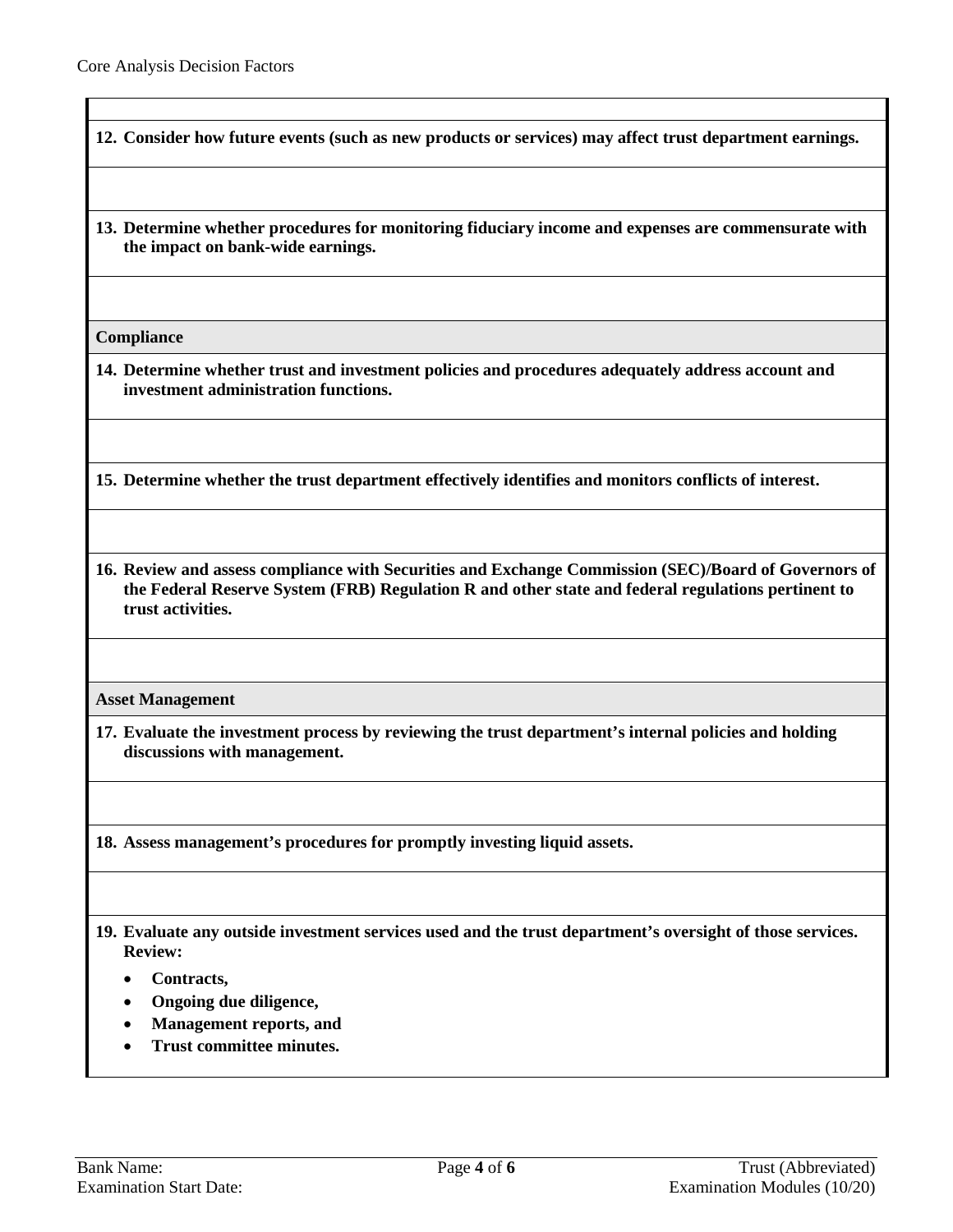**12. Consider how future events (such as new products or services) may affect trust department earnings.**

**13. Determine whether procedures for monitoring fiduciary income and expenses are commensurate with the impact on bank-wide earnings.**

**Compliance**

<span id="page-3-0"></span>**14. Determine whether trust and investment policies and procedures adequately address account and investment administration functions.** 

**15. Determine whether the trust department effectively identifies and monitors conflicts of interest.**

**16. Review and assess compliance with Securities and Exchange Commission (SEC)/Board of Governors of the Federal Reserve System (FRB) Regulation R and other state and federal regulations pertinent to trust activities.** 

**Asset Management**

**17. Evaluate the investment process by reviewing the trust department's internal policies and holding discussions with management.**

**18. Assess management's procedures for promptly investing liquid assets.**

**19. Evaluate any outside investment services used and the trust department's oversight of those services. Review:**

- **Contracts,**
- **Ongoing due diligence,**
- **Management reports, and**
- **Trust committee minutes.**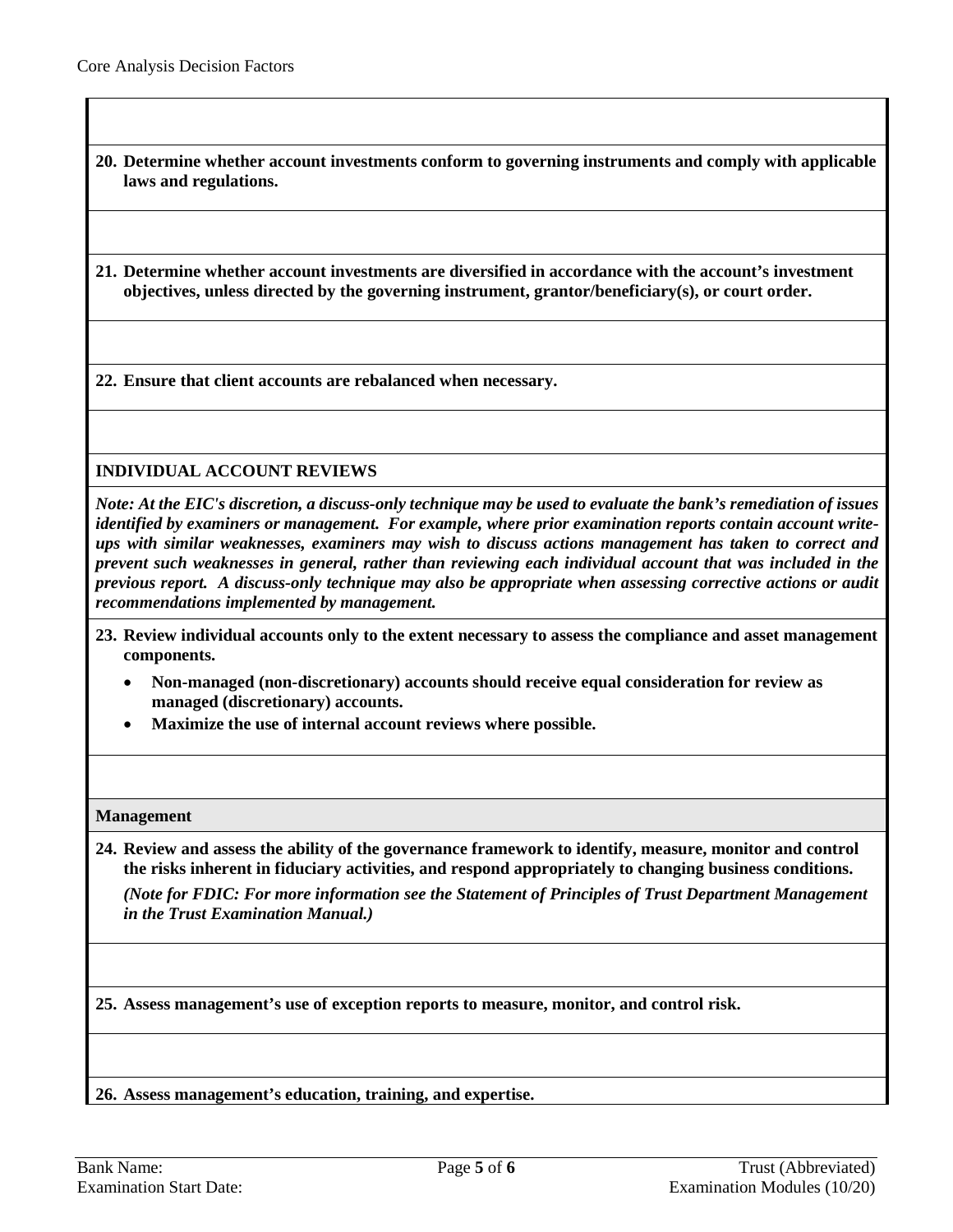- **20. Determine whether account investments conform to governing instruments and comply with applicable laws and regulations.**
- <span id="page-4-0"></span>**21. Determine whether account investments are diversified in accordance with the account's investment objectives, unless directed by the governing instrument, grantor/beneficiary(s), or court order.**

**22. Ensure that client accounts are rebalanced when necessary.**

## **INDIVIDUAL ACCOUNT REVIEWS**

*Note: At the EIC's discretion, a discuss-only technique may be used to evaluate the bank's remediation of issues identified by examiners or management. For example, where prior examination reports contain account writeups with similar weaknesses, examiners may wish to discuss actions management has taken to correct and prevent such weaknesses in general, rather than reviewing each individual account that was included in the previous report. A discuss-only technique may also be appropriate when assessing corrective actions or audit recommendations implemented by management.*

- **23. Review individual accounts only to the extent necessary to assess the compliance and asset management components.**
	- **Non-managed (non-discretionary) accounts should receive equal consideration for review as managed (discretionary) accounts.**
	- **Maximize the use of internal account reviews where possible.**

## **Management**

<span id="page-4-1"></span>**24. Review and assess the ability of the governance framework to identify, measure, monitor and control the risks inherent in fiduciary activities, and respond appropriately to changing business conditions.** 

*(Note for FDIC: For more information see the Statement of Principles of Trust Department Management in the Trust Examination Manual.)* 

**25. Assess management's use of exception reports to measure, monitor, and control risk.** 

**26. Assess management's education, training, and expertise.**